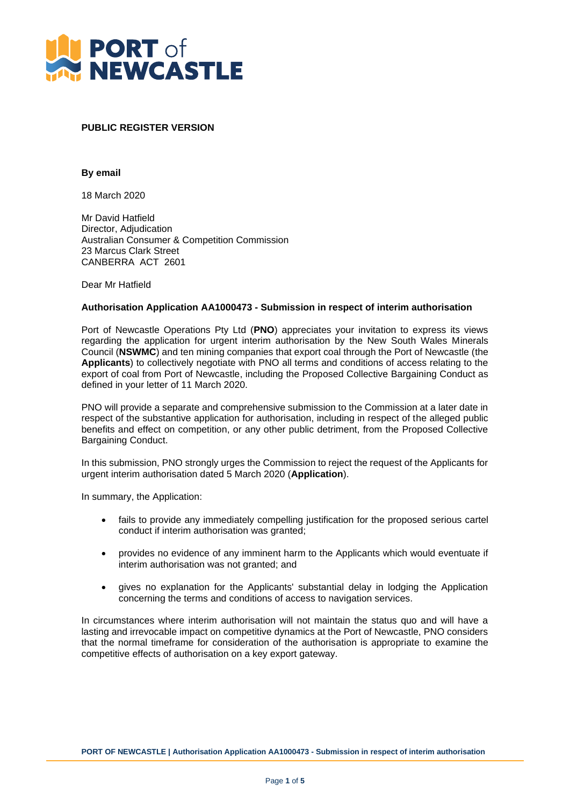

## **PUBLIC REGISTER VERSION**

## **By email**

18 March 2020

Mr David Hatfield Director, Adjudication Australian Consumer & Competition Commission 23 Marcus Clark Street CANBERRA ACT 2601

Dear Mr Hatfield

## **Authorisation Application AA1000473 - Submission in respect of interim authorisation**

Port of Newcastle Operations Pty Ltd (**PNO**) appreciates your invitation to express its views regarding the application for urgent interim authorisation by the New South Wales Minerals Council (**NSWMC**) and ten mining companies that export coal through the Port of Newcastle (the **Applicants**) to collectively negotiate with PNO all terms and conditions of access relating to the export of coal from Port of Newcastle, including the Proposed Collective Bargaining Conduct as defined in your letter of 11 March 2020.

PNO will provide a separate and comprehensive submission to the Commission at a later date in respect of the substantive application for authorisation, including in respect of the alleged public benefits and effect on competition, or any other public detriment, from the Proposed Collective Bargaining Conduct.

In this submission, PNO strongly urges the Commission to reject the request of the Applicants for urgent interim authorisation dated 5 March 2020 (**Application**).

In summary, the Application:

- fails to provide any immediately compelling justification for the proposed serious cartel conduct if interim authorisation was granted;
- provides no evidence of any imminent harm to the Applicants which would eventuate if interim authorisation was not granted; and
- gives no explanation for the Applicants' substantial delay in lodging the Application concerning the terms and conditions of access to navigation services.

In circumstances where interim authorisation will not maintain the status quo and will have a lasting and irrevocable impact on competitive dynamics at the Port of Newcastle, PNO considers that the normal timeframe for consideration of the authorisation is appropriate to examine the competitive effects of authorisation on a key export gateway.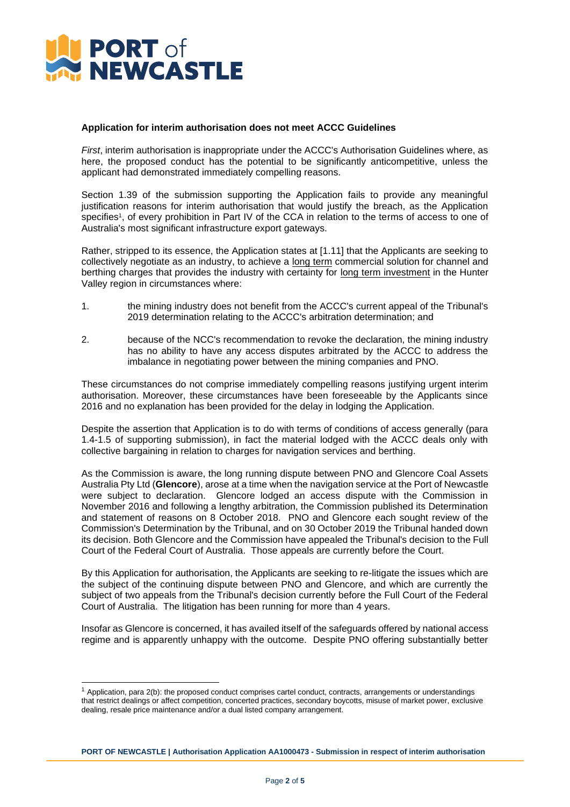

## **Application for interim authorisation does not meet ACCC Guidelines**

*First*, interim authorisation is inappropriate under the ACCC's Authorisation Guidelines where, as here, the proposed conduct has the potential to be significantly anticompetitive, unless the applicant had demonstrated immediately compelling reasons.

Section 1.39 of the submission supporting the Application fails to provide any meaningful justification reasons for interim authorisation that would justify the breach, as the Application specifies<sup>1</sup>, of every prohibition in Part IV of the CCA in relation to the terms of access to one of Australia's most significant infrastructure export gateways.

Rather, stripped to its essence, the Application states at [1.11] that the Applicants are seeking to collectively negotiate as an industry, to achieve a long term commercial solution for channel and berthing charges that provides the industry with certainty for long term investment in the Hunter Valley region in circumstances where:

- 1. the mining industry does not benefit from the ACCC's current appeal of the Tribunal's 2019 determination relating to the ACCC's arbitration determination; and
- 2. because of the NCC's recommendation to revoke the declaration, the mining industry has no ability to have any access disputes arbitrated by the ACCC to address the imbalance in negotiating power between the mining companies and PNO.

These circumstances do not comprise immediately compelling reasons justifying urgent interim authorisation. Moreover, these circumstances have been foreseeable by the Applicants since 2016 and no explanation has been provided for the delay in lodging the Application.

Despite the assertion that Application is to do with terms of conditions of access generally (para 1.4-1.5 of supporting submission), in fact the material lodged with the ACCC deals only with collective bargaining in relation to charges for navigation services and berthing.

As the Commission is aware, the long running dispute between PNO and Glencore Coal Assets Australia Pty Ltd (**Glencore**), arose at a time when the navigation service at the Port of Newcastle were subject to declaration. Glencore lodged an access dispute with the Commission in November 2016 and following a lengthy arbitration, the Commission published its Determination and statement of reasons on 8 October 2018. PNO and Glencore each sought review of the Commission's Determination by the Tribunal, and on 30 October 2019 the Tribunal handed down its decision. Both Glencore and the Commission have appealed the Tribunal's decision to the Full Court of the Federal Court of Australia. Those appeals are currently before the Court.

By this Application for authorisation, the Applicants are seeking to re-litigate the issues which are the subject of the continuing dispute between PNO and Glencore, and which are currently the subject of two appeals from the Tribunal's decision currently before the Full Court of the Federal Court of Australia. The litigation has been running for more than 4 years.

Insofar as Glencore is concerned, it has availed itself of the safeguards offered by national access regime and is apparently unhappy with the outcome. Despite PNO offering substantially better

<sup>1</sup> Application, para 2(b): the proposed conduct comprises cartel conduct, contracts, arrangements or understandings that restrict dealings or affect competition, concerted practices, secondary boycotts, misuse of market power, exclusive dealing, resale price maintenance and/or a dual listed company arrangement.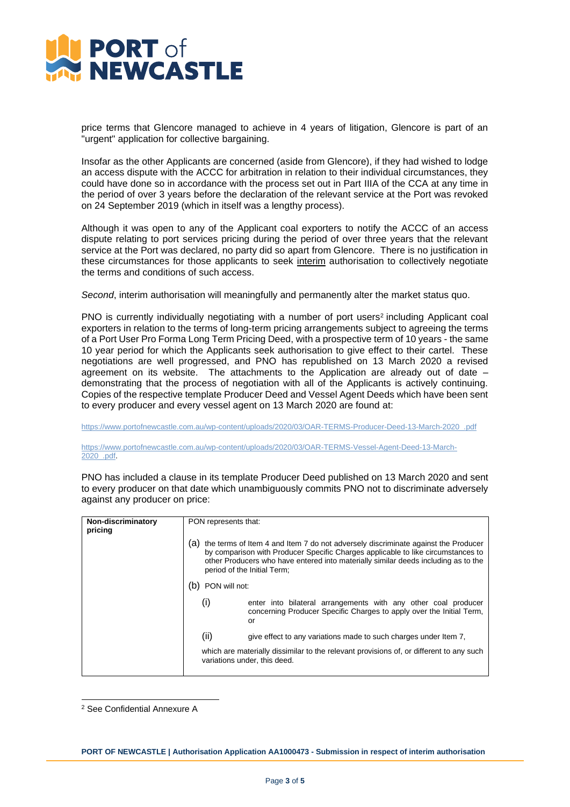

price terms that Glencore managed to achieve in 4 years of litigation, Glencore is part of an "urgent" application for collective bargaining.

Insofar as the other Applicants are concerned (aside from Glencore), if they had wished to lodge an access dispute with the ACCC for arbitration in relation to their individual circumstances, they could have done so in accordance with the process set out in Part IIIA of the CCA at any time in the period of over 3 years before the declaration of the relevant service at the Port was revoked on 24 September 2019 (which in itself was a lengthy process).

Although it was open to any of the Applicant coal exporters to notify the ACCC of an access dispute relating to port services pricing during the period of over three years that the relevant service at the Port was declared, no party did so apart from Glencore. There is no justification in these circumstances for those applicants to seek interim authorisation to collectively negotiate the terms and conditions of such access.

*Second*, interim authorisation will meaningfully and permanently alter the market status quo.

PNO is currently individually negotiating with a number of port users<sup>2</sup> including Applicant coal exporters in relation to the terms of long-term pricing arrangements subject to agreeing the terms of a Port User Pro Forma Long Term Pricing Deed, with a prospective term of 10 years - the same 10 year period for which the Applicants seek authorisation to give effect to their cartel. These negotiations are well progressed, and PNO has republished on 13 March 2020 a revised agreement on its website. The attachments to the Application are already out of date – demonstrating that the process of negotiation with all of the Applicants is actively continuing. Copies of the respective template Producer Deed and Vessel Agent Deeds which have been sent to every producer and every vessel agent on 13 March 2020 are found at:

[https://www.portofnewcastle.com.au/wp-content/uploads/2020/03/OAR-TERMS-Producer-Deed-13-March-2020\\_.pdf](https://protect-au.mimecast.com/s/XJGrC3Q8DNFZJGJNhqpSTn)

[https://www.portofnewcastle.com.au/wp-content/uploads/2020/03/OAR-TERMS-Vessel-Agent-Deed-13-March-](https://protect-au.mimecast.com/s/kd43C4QZ0OFrQmQkcBodqK)[2020\\_.pdf.](https://protect-au.mimecast.com/s/kd43C4QZ0OFrQmQkcBodqK)

PNO has included a clause in its template Producer Deed published on 13 March 2020 and sent to every producer on that date which unambiguously commits PNO not to discriminate adversely against any producer on price:

| Non-discriminatory<br>pricing | PON represents that:<br>the terms of Item 4 and Item 7 do not adversely discriminate against the Producer<br>(a)<br>by comparison with Producer Specific Charges applicable to like circumstances to<br>other Producers who have entered into materially similar deeds including as to the<br>period of the Initial Term;<br>PON will not: |                                                                                                                                              |  |
|-------------------------------|--------------------------------------------------------------------------------------------------------------------------------------------------------------------------------------------------------------------------------------------------------------------------------------------------------------------------------------------|----------------------------------------------------------------------------------------------------------------------------------------------|--|
|                               |                                                                                                                                                                                                                                                                                                                                            |                                                                                                                                              |  |
|                               |                                                                                                                                                                                                                                                                                                                                            |                                                                                                                                              |  |
|                               | (i)                                                                                                                                                                                                                                                                                                                                        | enter into bilateral arrangements with any other coal producer<br>concerning Producer Specific Charges to apply over the Initial Term,<br>or |  |
|                               | (ii)                                                                                                                                                                                                                                                                                                                                       | give effect to any variations made to such charges under Item 7.                                                                             |  |
|                               |                                                                                                                                                                                                                                                                                                                                            | which are materially dissimilar to the relevant provisions of, or different to any such<br>variations under, this deed.                      |  |

<sup>2</sup> See Confidential Annexure A

**PORT OF NEWCASTLE | Authorisation Application AA1000473 - Submission in respect of interim authorisation**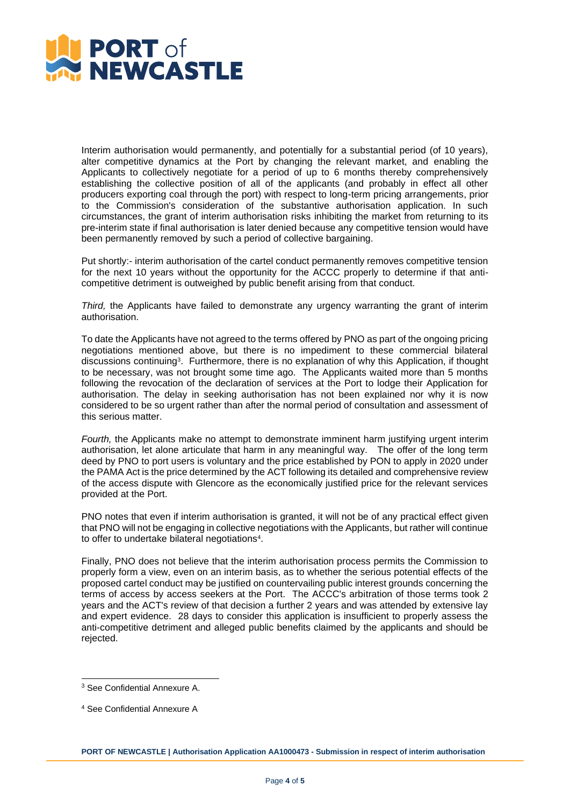

Interim authorisation would permanently, and potentially for a substantial period (of 10 years), alter competitive dynamics at the Port by changing the relevant market, and enabling the Applicants to collectively negotiate for a period of up to 6 months thereby comprehensively establishing the collective position of all of the applicants (and probably in effect all other producers exporting coal through the port) with respect to long-term pricing arrangements, prior to the Commission's consideration of the substantive authorisation application. In such circumstances, the grant of interim authorisation risks inhibiting the market from returning to its pre-interim state if final authorisation is later denied because any competitive tension would have been permanently removed by such a period of collective bargaining.

Put shortly:- interim authorisation of the cartel conduct permanently removes competitive tension for the next 10 years without the opportunity for the ACCC properly to determine if that anticompetitive detriment is outweighed by public benefit arising from that conduct.

*Third,* the Applicants have failed to demonstrate any urgency warranting the grant of interim authorisation.

To date the Applicants have not agreed to the terms offered by PNO as part of the ongoing pricing negotiations mentioned above, but there is no impediment to these commercial bilateral discussions continuing<sup>3</sup>. Furthermore, there is no explanation of why this Application, if thought to be necessary, was not brought some time ago. The Applicants waited more than 5 months following the revocation of the declaration of services at the Port to lodge their Application for authorisation. The delay in seeking authorisation has not been explained nor why it is now considered to be so urgent rather than after the normal period of consultation and assessment of this serious matter.

*Fourth,* the Applicants make no attempt to demonstrate imminent harm justifying urgent interim authorisation, let alone articulate that harm in any meaningful way. The offer of the long term deed by PNO to port users is voluntary and the price established by PON to apply in 2020 under the PAMA Act is the price determined by the ACT following its detailed and comprehensive review of the access dispute with Glencore as the economically justified price for the relevant services provided at the Port.

PNO notes that even if interim authorisation is granted, it will not be of any practical effect given that PNO will not be engaging in collective negotiations with the Applicants, but rather will continue to offer to undertake bilateral negotiations<sup>4</sup>.

Finally, PNO does not believe that the interim authorisation process permits the Commission to properly form a view, even on an interim basis, as to whether the serious potential effects of the proposed cartel conduct may be justified on countervailing public interest grounds concerning the terms of access by access seekers at the Port. The ACCC's arbitration of those terms took 2 years and the ACT's review of that decision a further 2 years and was attended by extensive lay and expert evidence. 28 days to consider this application is insufficient to properly assess the anti-competitive detriment and alleged public benefits claimed by the applicants and should be rejected.

<sup>3</sup> See Confidential Annexure A.

<sup>4</sup> See Confidential Annexure A